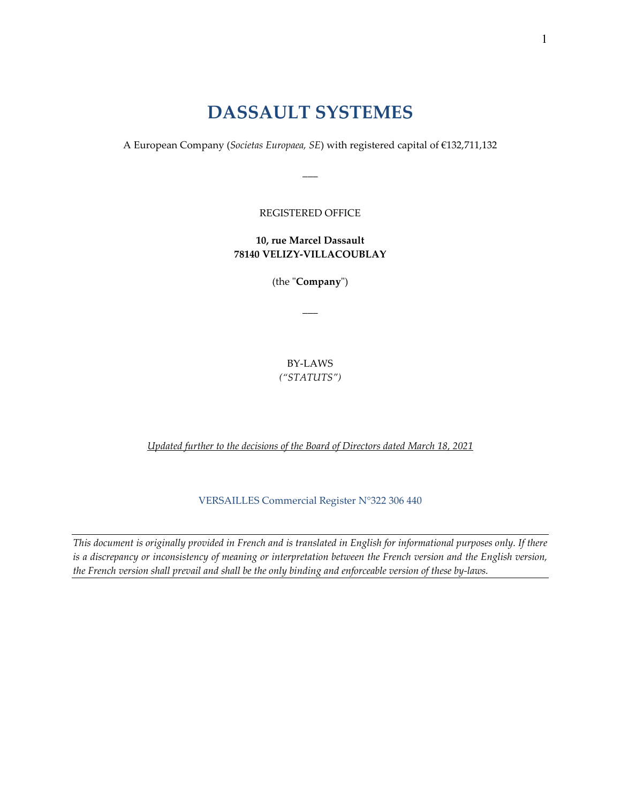# **DASSAULT SYSTEMES**

A European Company (*Societas Europaea, SE*) with registered capital of €132,711,132

 $\overline{\phantom{a}}$ 

REGISTERED OFFICE

**10, rue Marcel Dassault 78140 VELIZY-VILLACOUBLAY**

(the "**Company**")

 $\overline{\phantom{a}}$ 

BY-LAWS *("STATUTS")*

*Updated further to the decisions of the Board of Directors dated March 18, 2021*

VERSAILLES Commercial Register N°322 306 440

*This document is originally provided in French and is translated in English for informational purposes only. If there is a discrepancy or inconsistency of meaning or interpretation between the French version and the English version, the French version shall prevail and shall be the only binding and enforceable version of these by-laws.*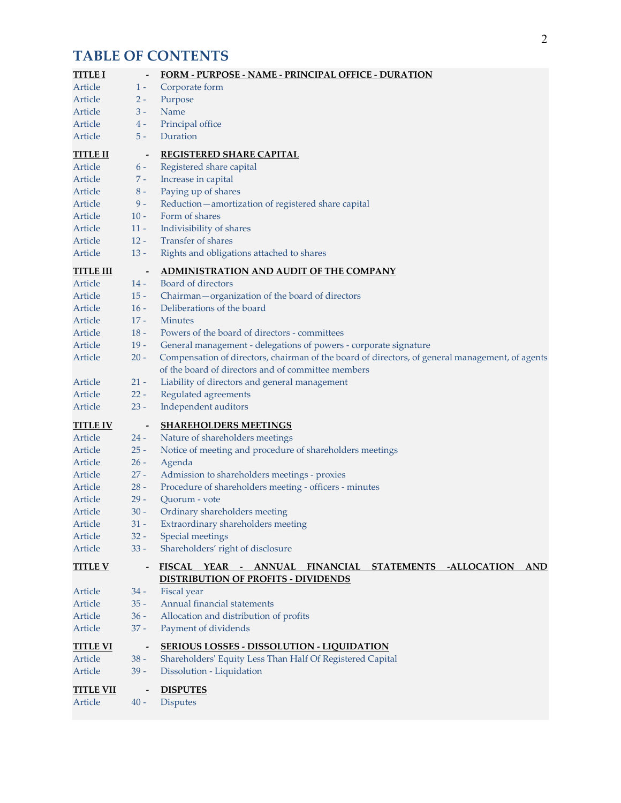# **TABLE OF CONTENTS**

| <b>TITLE I</b>   |                          | FORM - PURPOSE - NAME - PRINCIPAL OFFICE - DURATION                                                                  |
|------------------|--------------------------|----------------------------------------------------------------------------------------------------------------------|
| Article          | $1 -$                    | Corporate form                                                                                                       |
| Article          | $2 -$                    | Purpose                                                                                                              |
| Article          | $3 -$                    | Name                                                                                                                 |
| Article          | $4 -$                    | Principal office                                                                                                     |
| Article          | $5 -$                    | Duration                                                                                                             |
| <b>TITLE II</b>  | $\overline{\phantom{a}}$ | <b>REGISTERED SHARE CAPITAL</b>                                                                                      |
| Article          | $6 -$                    | Registered share capital                                                                                             |
| Article          | $7 -$                    | Increase in capital                                                                                                  |
| Article          | $8-$                     | Paying up of shares                                                                                                  |
| Article          | $9-$                     | Reduction-amortization of registered share capital                                                                   |
| Article          | $10 -$                   | Form of shares                                                                                                       |
| Article          | $11 -$                   | Indivisibility of shares                                                                                             |
| Article          | $12 -$                   | <b>Transfer of shares</b>                                                                                            |
| Article          | $13 -$                   | Rights and obligations attached to shares                                                                            |
| <b>TITLE III</b> | $\overline{\phantom{a}}$ | ADMINISTRATION AND AUDIT OF THE COMPANY                                                                              |
| Article          | $14 -$                   | Board of directors                                                                                                   |
| Article          | $15 -$                   | Chairman-organization of the board of directors                                                                      |
| Article          | $16 -$                   | Deliberations of the board                                                                                           |
| Article          | $17 -$                   | <b>Minutes</b>                                                                                                       |
| Article          | $18 -$                   | Powers of the board of directors - committees                                                                        |
| Article          | $19 -$                   | General management - delegations of powers - corporate signature                                                     |
| Article          | $20 -$                   | Compensation of directors, chairman of the board of directors, of general management, of agents                      |
|                  |                          | of the board of directors and of committee members                                                                   |
| Article          | $21 -$                   | Liability of directors and general management                                                                        |
| Article          | $22 -$                   | Regulated agreements                                                                                                 |
| Article          | $23 -$                   | Independent auditors                                                                                                 |
| <b>TITLE IV</b>  | $\overline{\phantom{a}}$ | <b>SHAREHOLDERS MEETINGS</b>                                                                                         |
| Article          | $24 -$                   | Nature of shareholders meetings                                                                                      |
| Article          | $25 -$                   | Notice of meeting and procedure of shareholders meetings                                                             |
| Article          | $26 -$                   | Agenda                                                                                                               |
| Article          | $27 -$                   | Admission to shareholders meetings - proxies                                                                         |
| Article          | $28 -$                   | Procedure of shareholders meeting - officers - minutes                                                               |
| Article          | $29 -$                   | Quorum - vote                                                                                                        |
| Article          | $30 -$                   | Ordinary shareholders meeting                                                                                        |
| Article          | $31 -$                   | Extraordinary shareholders meeting                                                                                   |
| Article          | $32 -$                   | Special meetings                                                                                                     |
| Article          | $33 -$                   | Shareholders' right of disclosure                                                                                    |
| <b>TITLE V</b>   |                          | FISCAL YEAR - ANNUAL<br>FINANCIAL STATEMENTS -ALLOCATION<br><b>AND</b><br><b>DISTRIBUTION OF PROFITS - DIVIDENDS</b> |
| Article          | $34 -$                   | <b>Fiscal</b> year                                                                                                   |
| Article          | $35 -$                   | Annual financial statements                                                                                          |
| Article          | $36 -$                   | Allocation and distribution of profits                                                                               |
| Article          | $37 -$                   | Payment of dividends                                                                                                 |
| <b>TITLE VI</b>  |                          | <b>SERIOUS LOSSES - DISSOLUTION - LIQUIDATION</b>                                                                    |
| Article          | $38 -$                   | Shareholders' Equity Less Than Half Of Registered Capital                                                            |
| Article          | $39 -$                   | Dissolution - Liquidation                                                                                            |
| <b>TITLE VII</b> |                          | <b>DISPUTES</b>                                                                                                      |
| Article          | $40 -$                   | <b>Disputes</b>                                                                                                      |
|                  |                          |                                                                                                                      |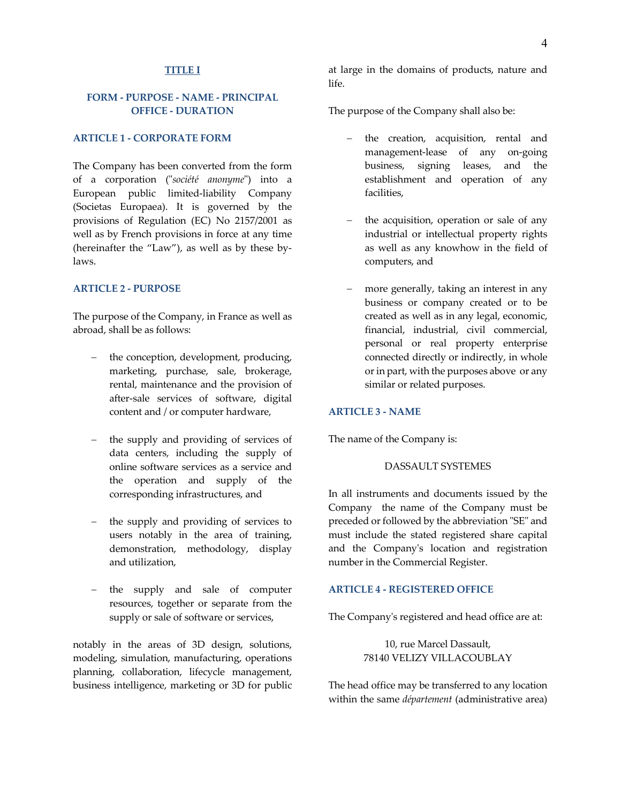#### **TITLE I**

## **FORM - PURPOSE - NAME - PRINCIPAL OFFICE - DURATION**

#### **ARTICLE 1 - CORPORATE FORM**

The Company has been converted from the form of a corporation ("*société anonyme*") into a European public limited-liability Company (Societas Europaea). It is governed by the provisions of Regulation (EC) No 2157/2001 as well as by French provisions in force at any time (hereinafter the "Law"), as well as by these bylaws.

#### **ARTICLE 2 - PURPOSE**

The purpose of the Company, in France as well as abroad, shall be as follows:

- the conception, development, producing, marketing, purchase, sale, brokerage, rental, maintenance and the provision of after-sale services of software, digital content and / or computer hardware,
- the supply and providing of services of data centers, including the supply of online software services as a service and the operation and supply of the corresponding infrastructures, and
- the supply and providing of services to users notably in the area of training, demonstration, methodology, display and utilization,
- the supply and sale of computer resources, together or separate from the supply or sale of software or services,

notably in the areas of 3D design, solutions, modeling, simulation, manufacturing, operations planning, collaboration, lifecycle management, business intelligence, marketing or 3D for public

at large in the domains of products, nature and life.

The purpose of the Company shall also be:

- the creation, acquisition, rental and management-lease of any on-going business, signing leases, and the establishment and operation of any facilities,
- the acquisition, operation or sale of any industrial or intellectual property rights as well as any knowhow in the field of computers, and
- more generally, taking an interest in any business or company created or to be created as well as in any legal, economic, financial, industrial, civil commercial, personal or real property enterprise connected directly or indirectly, in whole or in part, with the purposes above or any similar or related purposes.

#### **ARTICLE 3 - NAME**

The name of the Company is:

#### DASSAULT SYSTEMES

In all instruments and documents issued by the Company the name of the Company must be preceded or followed by the abbreviation "SE" and must include the stated registered share capital and the Company's location and registration number in the Commercial Register.

## **ARTICLE 4 - REGISTERED OFFICE**

The Company's registered and head office are at:

10, rue Marcel Dassault, 78140 VELIZY VILLACOUBLAY

The head office may be transferred to any location within the same *département* (administrative area)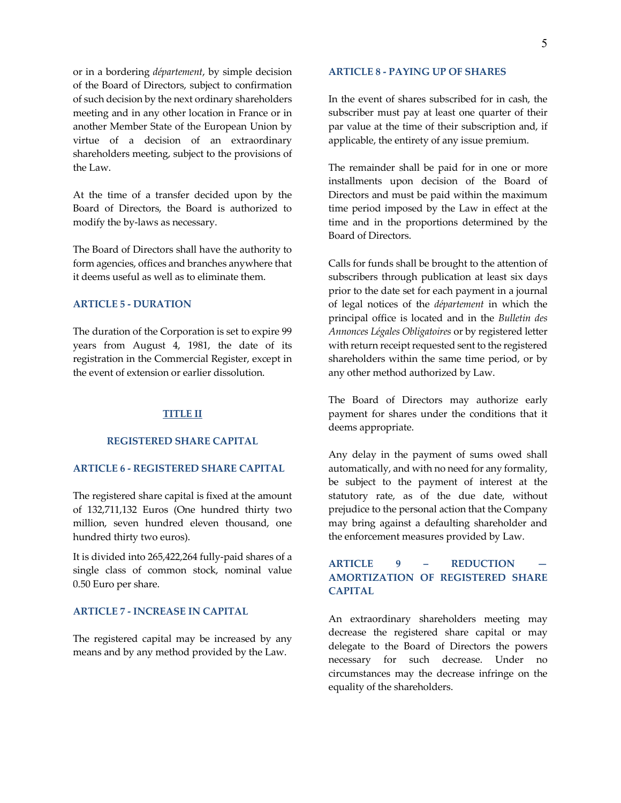or in a bordering *département*, by simple decision of the Board of Directors, subject to confirmation of such decision by the next ordinary shareholders meeting and in any other location in France or in another Member State of the European Union by virtue of a decision of an extraordinary shareholders meeting, subject to the provisions of the Law.

At the time of a transfer decided upon by the Board of Directors, the Board is authorized to modify the by-laws as necessary.

The Board of Directors shall have the authority to form agencies, offices and branches anywhere that it deems useful as well as to eliminate them.

## **ARTICLE 5 - DURATION**

The duration of the Corporation is set to expire 99 years from August 4, 1981, the date of its registration in the Commercial Register, except in the event of extension or earlier dissolution.

### **TITLE II**

#### **REGISTERED SHARE CAPITAL**

## **ARTICLE 6 - REGISTERED SHARE CAPITAL**

The registered share capital is fixed at the amount of 132,711,132 Euros (One hundred thirty two million, seven hundred eleven thousand, one hundred thirty two euros).

It is divided into 265,422,264 fully-paid shares of a single class of common stock, nominal value 0.50 Euro per share.

## **ARTICLE 7 - INCREASE IN CAPITAL**

The registered capital may be increased by any means and by any method provided by the Law.

#### **ARTICLE 8 - PAYING UP OF SHARES**

In the event of shares subscribed for in cash, the subscriber must pay at least one quarter of their par value at the time of their subscription and, if applicable, the entirety of any issue premium.

The remainder shall be paid for in one or more installments upon decision of the Board of Directors and must be paid within the maximum time period imposed by the Law in effect at the time and in the proportions determined by the Board of Directors.

Calls for funds shall be brought to the attention of subscribers through publication at least six days prior to the date set for each payment in a journal of legal notices of the *département* in which the principal office is located and in the *Bulletin des Annonces Légales Obligatoires* or by registered letter with return receipt requested sent to the registered shareholders within the same time period, or by any other method authorized by Law.

The Board of Directors may authorize early payment for shares under the conditions that it deems appropriate.

Any delay in the payment of sums owed shall automatically, and with no need for any formality, be subject to the payment of interest at the statutory rate, as of the due date, without prejudice to the personal action that the Company may bring against a defaulting shareholder and the enforcement measures provided by Law.

# **ARTICLE 9 – REDUCTION — AMORTIZATION OF REGISTERED SHARE CAPITAL**

An extraordinary shareholders meeting may decrease the registered share capital or may delegate to the Board of Directors the powers necessary for such decrease. Under no circumstances may the decrease infringe on the equality of the shareholders.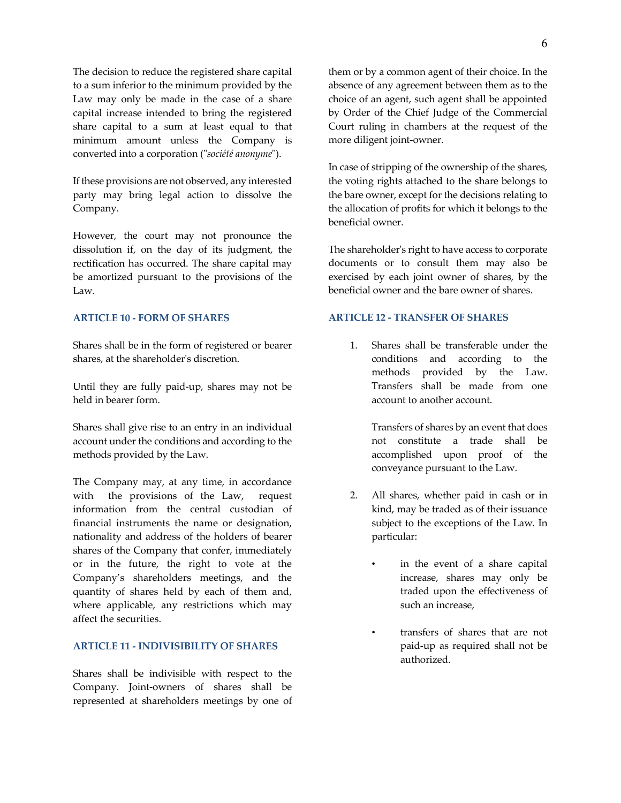The decision to reduce the registered share capital to a sum inferior to the minimum provided by the Law may only be made in the case of a share capital increase intended to bring the registered share capital to a sum at least equal to that minimum amount unless the Company is converted into a corporation ("*société anonyme*").

If these provisions are not observed, any interested party may bring legal action to dissolve the Company.

However, the court may not pronounce the dissolution if, on the day of its judgment, the rectification has occurred. The share capital may be amortized pursuant to the provisions of the Law.

## **ARTICLE 10 - FORM OF SHARES**

Shares shall be in the form of registered or bearer shares, at the shareholder's discretion.

Until they are fully paid-up, shares may not be held in bearer form.

Shares shall give rise to an entry in an individual account under the conditions and according to the methods provided by the Law.

The Company may, at any time, in accordance with the provisions of the Law, request information from the central custodian of financial instruments the name or designation, nationality and address of the holders of bearer shares of the Company that confer, immediately or in the future, the right to vote at the Company's shareholders meetings, and the quantity of shares held by each of them and, where applicable, any restrictions which may affect the securities.

## **ARTICLE 11 - INDIVISIBILITY OF SHARES**

Shares shall be indivisible with respect to the Company. Joint-owners of shares shall be represented at shareholders meetings by one of

them or by a common agent of their choice. In the absence of any agreement between them as to the choice of an agent, such agent shall be appointed by Order of the Chief Judge of the Commercial Court ruling in chambers at the request of the more diligent joint-owner.

In case of stripping of the ownership of the shares, the voting rights attached to the share belongs to the bare owner, except for the decisions relating to the allocation of profits for which it belongs to the beneficial owner.

The shareholder's right to have access to corporate documents or to consult them may also be exercised by each joint owner of shares, by the beneficial owner and the bare owner of shares.

## **ARTICLE 12 - TRANSFER OF SHARES**

1. Shares shall be transferable under the conditions and according to the methods provided by the Law. Transfers shall be made from one account to another account.

> Transfers of shares by an event that does not constitute a trade shall be accomplished upon proof of the conveyance pursuant to the Law.

- 2. All shares, whether paid in cash or in kind, may be traded as of their issuance subject to the exceptions of the Law. In particular:
	- in the event of a share capital increase, shares may only be traded upon the effectiveness of such an increase,
	- transfers of shares that are not paid-up as required shall not be authorized.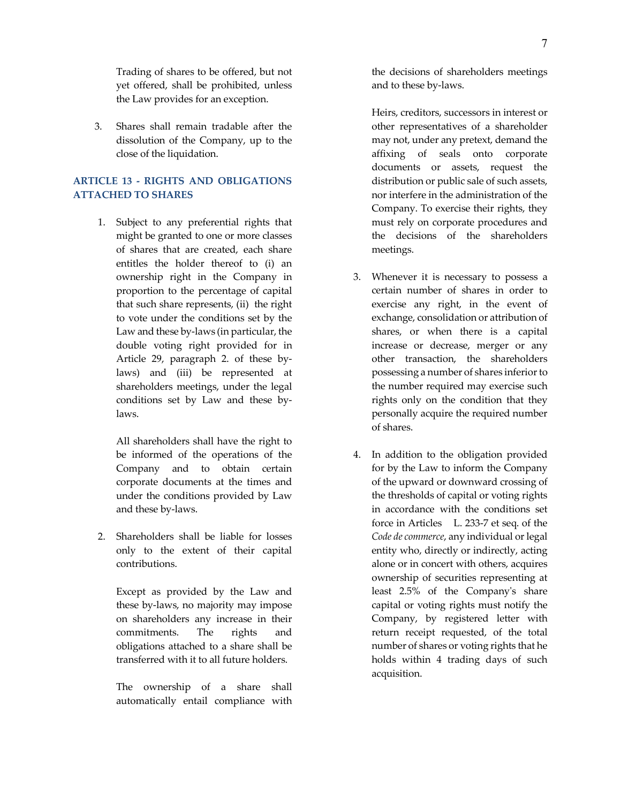Trading of shares to be offered, but not yet offered, shall be prohibited, unless the Law provides for an exception.

3. Shares shall remain tradable after the dissolution of the Company, up to the close of the liquidation.

# **ARTICLE 13 - RIGHTS AND OBLIGATIONS ATTACHED TO SHARES**

1. Subject to any preferential rights that might be granted to one or more classes of shares that are created, each share entitles the holder thereof to (i) an ownership right in the Company in proportion to the percentage of capital that such share represents, (ii) the right to vote under the conditions set by the Law and these by-laws (in particular, the double voting right provided for in Article 29, paragraph 2. of these bylaws) and (iii) be represented at shareholders meetings, under the legal conditions set by Law and these bylaws.

All shareholders shall have the right to be informed of the operations of the Company and to obtain certain corporate documents at the times and under the conditions provided by Law and these by-laws.

2. Shareholders shall be liable for losses only to the extent of their capital contributions.

Except as provided by the Law and these by-laws, no majority may impose on shareholders any increase in their commitments. The rights and obligations attached to a share shall be transferred with it to all future holders.

The ownership of a share shall automatically entail compliance with the decisions of shareholders meetings and to these by-laws.

Heirs, creditors, successors in interest or other representatives of a shareholder may not, under any pretext, demand the affixing of seals onto corporate documents or assets, request the distribution or public sale of such assets, nor interfere in the administration of the Company. To exercise their rights, they must rely on corporate procedures and the decisions of the shareholders meetings.

- 3. Whenever it is necessary to possess a certain number of shares in order to exercise any right, in the event of exchange, consolidation or attribution of shares, or when there is a capital increase or decrease, merger or any other transaction, the shareholders possessing a number of shares inferior to the number required may exercise such rights only on the condition that they personally acquire the required number of shares.
- 4. In addition to the obligation provided for by the Law to inform the Company of the upward or downward crossing of the thresholds of capital or voting rights in accordance with the conditions set force in Articles L. 233-7 et seq. of the *Code de commerce*, any individual or legal entity who, directly or indirectly, acting alone or in concert with others, acquires ownership of securities representing at least 2.5% of the Company's share capital or voting rights must notify the Company, by registered letter with return receipt requested, of the total number of shares or voting rights that he holds within 4 trading days of such acquisition.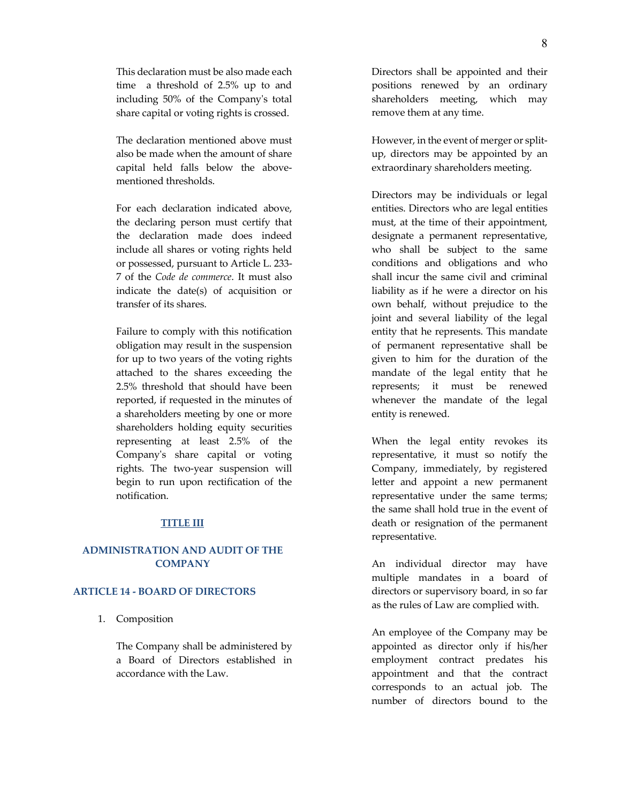This declaration must be also made each time a threshold of 2.5% up to and including 50% of the Company's total share capital or voting rights is crossed.

The declaration mentioned above must also be made when the amount of share capital held falls below the abovementioned thresholds.

For each declaration indicated above, the declaring person must certify that the declaration made does indeed include all shares or voting rights held or possessed, pursuant to Article L. 233- 7 of the *Code de commerce*. It must also indicate the date(s) of acquisition or transfer of its shares.

Failure to comply with this notification obligation may result in the suspension for up to two years of the voting rights attached to the shares exceeding the 2.5% threshold that should have been reported, if requested in the minutes of a shareholders meeting by one or more shareholders holding equity securities representing at least 2.5% of the Company's share capital or voting rights. The two-year suspension will begin to run upon rectification of the notification.

#### **TITLE III**

# **ADMINISTRATION AND AUDIT OF THE COMPANY**

#### **ARTICLE 14 - BOARD OF DIRECTORS**

1. Composition

The Company shall be administered by a Board of Directors established in accordance with the Law.

Directors shall be appointed and their positions renewed by an ordinary shareholders meeting, which may remove them at any time.

However, in the event of merger or splitup, directors may be appointed by an extraordinary shareholders meeting.

Directors may be individuals or legal entities. Directors who are legal entities must, at the time of their appointment, designate a permanent representative, who shall be subject to the same conditions and obligations and who shall incur the same civil and criminal liability as if he were a director on his own behalf, without prejudice to the joint and several liability of the legal entity that he represents. This mandate of permanent representative shall be given to him for the duration of the mandate of the legal entity that he represents; it must be renewed whenever the mandate of the legal entity is renewed.

When the legal entity revokes its representative, it must so notify the Company, immediately, by registered letter and appoint a new permanent representative under the same terms; the same shall hold true in the event of death or resignation of the permanent representative.

An individual director may have multiple mandates in a board of directors or supervisory board, in so far as the rules of Law are complied with.

An employee of the Company may be appointed as director only if his/her employment contract predates his appointment and that the contract corresponds to an actual job. The number of directors bound to the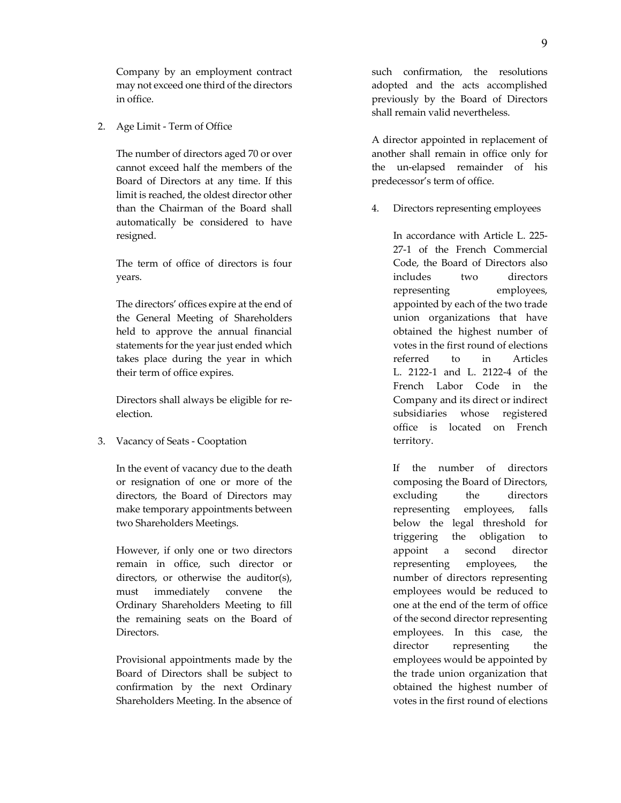Company by an employment contract may not exceed one third of the directors in office.

2. Age Limit - Term of Office

The number of directors aged 70 or over cannot exceed half the members of the Board of Directors at any time. If this limit is reached, the oldest director other than the Chairman of the Board shall automatically be considered to have resigned.

The term of office of directors is four years.

The directors' offices expire at the end of the General Meeting of Shareholders held to approve the annual financial statements for the year just ended which takes place during the year in which their term of office expires.

Directors shall always be eligible for reelection.

3. Vacancy of Seats - Cooptation

In the event of vacancy due to the death or resignation of one or more of the directors, the Board of Directors may make temporary appointments between two Shareholders Meetings.

However, if only one or two directors remain in office, such director or directors, or otherwise the auditor(s), must immediately convene the Ordinary Shareholders Meeting to fill the remaining seats on the Board of Directors.

Provisional appointments made by the Board of Directors shall be subject to confirmation by the next Ordinary Shareholders Meeting. In the absence of such confirmation, the resolutions adopted and the acts accomplished previously by the Board of Directors shall remain valid nevertheless.

A director appointed in replacement of another shall remain in office only for the un-elapsed remainder of his predecessor's term of office.

4. Directors representing employees

In accordance with Article L. 225- 27-1 of the French Commercial Code, the Board of Directors also includes two directors representing employees, appointed by each of the two trade union organizations that have obtained the highest number of votes in the first round of elections referred to in Articles L. 2122-1 and L. 2122-4 of the French Labor Code in the Company and its direct or indirect subsidiaries whose registered office is located on French territory.

If the number of directors composing the Board of Directors, excluding the directors representing employees, falls below the legal threshold for triggering the obligation to appoint a second director representing employees, the number of directors representing employees would be reduced to one at the end of the term of office of the second director representing employees. In this case, the director representing the employees would be appointed by the trade union organization that obtained the highest number of votes in the first round of elections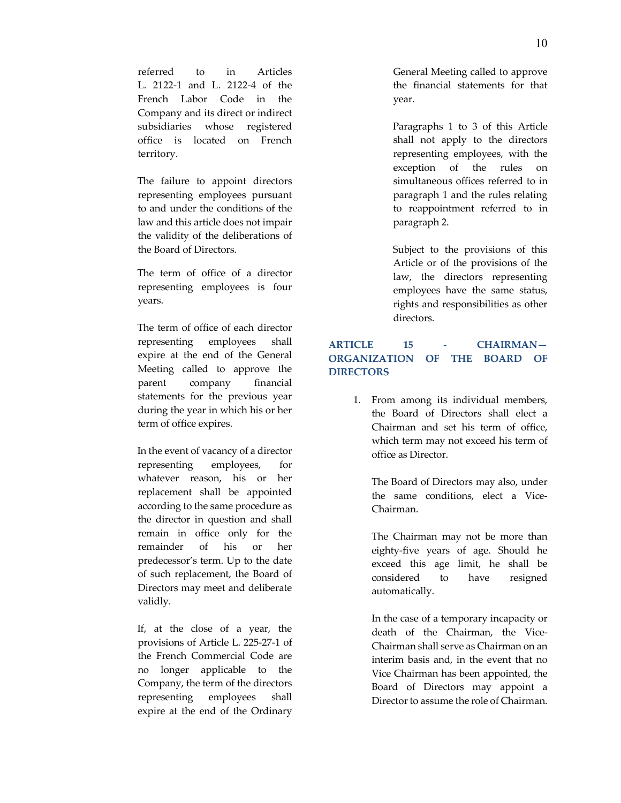referred to in Articles L. 2122-1 and L. 2122-4 of the French Labor Code in the Company and its direct or indirect subsidiaries whose registered office is located on French territory.

The failure to appoint directors representing employees pursuant to and under the conditions of the law and this article does not impair the validity of the deliberations of the Board of Directors.

The term of office of a director representing employees is four years.

The term of office of each director representing employees shall expire at the end of the General Meeting called to approve the parent company financial statements for the previous year during the year in which his or her term of office expires.

In the event of vacancy of a director representing employees, for whatever reason, his or her replacement shall be appointed according to the same procedure as the director in question and shall remain in office only for the remainder of his or her predecessor's term. Up to the date of such replacement, the Board of Directors may meet and deliberate validly.

If, at the close of a year, the provisions of Article L. 225-27-1 of the French Commercial Code are no longer applicable to the Company, the term of the directors representing employees shall expire at the end of the Ordinary

General Meeting called to approve the financial statements for that year.

Paragraphs 1 to 3 of this Article shall not apply to the directors representing employees, with the exception of the rules on simultaneous offices referred to in paragraph 1 and the rules relating to reappointment referred to in paragraph 2.

Subject to the provisions of this Article or of the provisions of the law, the directors representing employees have the same status, rights and responsibilities as other directors.

# **ARTICLE 15 - CHAIRMAN— ORGANIZATION OF THE BOARD OF DIRECTORS**

1. From among its individual members, the Board of Directors shall elect a Chairman and set his term of office, which term may not exceed his term of office as Director.

The Board of Directors may also, under the same conditions, elect a Vice-Chairman.

The Chairman may not be more than eighty-five years of age. Should he exceed this age limit, he shall be considered to have resigned automatically.

In the case of a temporary incapacity or death of the Chairman, the Vice-Chairman shall serve as Chairman on an interim basis and, in the event that no Vice Chairman has been appointed, the Board of Directors may appoint a Director to assume the role of Chairman.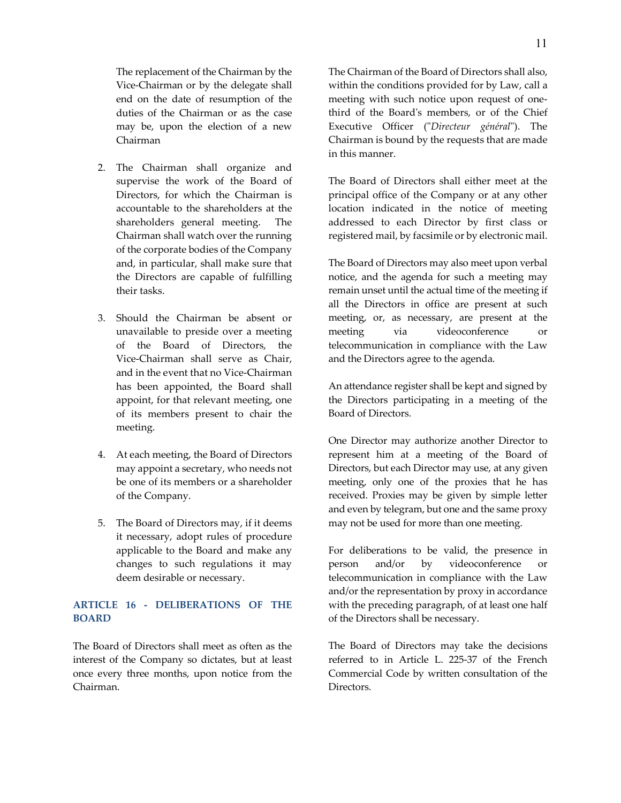The replacement of the Chairman by the Vice-Chairman or by the delegate shall end on the date of resumption of the duties of the Chairman or as the case may be, upon the election of a new Chairman

- 2. The Chairman shall organize and supervise the work of the Board of Directors, for which the Chairman is accountable to the shareholders at the shareholders general meeting. The Chairman shall watch over the running of the corporate bodies of the Company and, in particular, shall make sure that the Directors are capable of fulfilling their tasks.
- 3. Should the Chairman be absent or unavailable to preside over a meeting of the Board of Directors, the Vice-Chairman shall serve as Chair, and in the event that no Vice-Chairman has been appointed, the Board shall appoint, for that relevant meeting, one of its members present to chair the meeting.
- 4. At each meeting, the Board of Directors may appoint a secretary, who needs not be one of its members or a shareholder of the Company.
- 5. The Board of Directors may, if it deems it necessary, adopt rules of procedure applicable to the Board and make any changes to such regulations it may deem desirable or necessary.

## **ARTICLE 16 - DELIBERATIONS OF THE BOARD**

The Board of Directors shall meet as often as the interest of the Company so dictates, but at least once every three months, upon notice from the Chairman.

The Chairman of the Board of Directors shall also, within the conditions provided for by Law, call a meeting with such notice upon request of onethird of the Board's members, or of the Chief Executive Officer ("*Directeur général*"). The Chairman is bound by the requests that are made in this manner.

The Board of Directors shall either meet at the principal office of the Company or at any other location indicated in the notice of meeting addressed to each Director by first class or registered mail, by facsimile or by electronic mail.

The Board of Directors may also meet upon verbal notice, and the agenda for such a meeting may remain unset until the actual time of the meeting if all the Directors in office are present at such meeting, or, as necessary, are present at the meeting via videoconference or telecommunication in compliance with the Law and the Directors agree to the agenda.

An attendance register shall be kept and signed by the Directors participating in a meeting of the Board of Directors.

One Director may authorize another Director to represent him at a meeting of the Board of Directors, but each Director may use, at any given meeting, only one of the proxies that he has received. Proxies may be given by simple letter and even by telegram, but one and the same proxy may not be used for more than one meeting.

For deliberations to be valid, the presence in person and/or by videoconference or telecommunication in compliance with the Law and/or the representation by proxy in accordance with the preceding paragraph, of at least one half of the Directors shall be necessary.

The Board of Directors may take the decisions referred to in Article L. 225-37 of the French Commercial Code by written consultation of the Directors.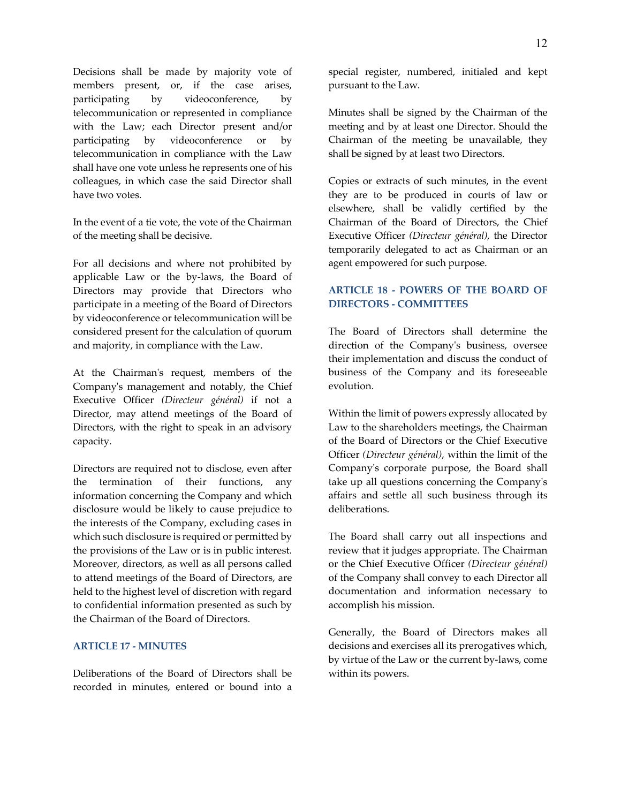Decisions shall be made by majority vote of members present, or, if the case arises, participating by videoconference, by telecommunication or represented in compliance with the Law; each Director present and/or participating by videoconference or by telecommunication in compliance with the Law shall have one vote unless he represents one of his colleagues, in which case the said Director shall have two votes.

In the event of a tie vote, the vote of the Chairman of the meeting shall be decisive.

For all decisions and where not prohibited by applicable Law or the by-laws, the Board of Directors may provide that Directors who participate in a meeting of the Board of Directors by videoconference or telecommunication will be considered present for the calculation of quorum and majority, in compliance with the Law.

At the Chairman's request, members of the Company's management and notably, the Chief Executive Officer *(Directeur général)* if not a Director, may attend meetings of the Board of Directors, with the right to speak in an advisory capacity.

Directors are required not to disclose, even after the termination of their functions, any information concerning the Company and which disclosure would be likely to cause prejudice to the interests of the Company, excluding cases in which such disclosure is required or permitted by the provisions of the Law or is in public interest. Moreover, directors, as well as all persons called to attend meetings of the Board of Directors, are held to the highest level of discretion with regard to confidential information presented as such by the Chairman of the Board of Directors.

#### **ARTICLE 17 - MINUTES**

Deliberations of the Board of Directors shall be recorded in minutes, entered or bound into a special register, numbered, initialed and kept pursuant to the Law.

Minutes shall be signed by the Chairman of the meeting and by at least one Director. Should the Chairman of the meeting be unavailable, they shall be signed by at least two Directors.

Copies or extracts of such minutes, in the event they are to be produced in courts of law or elsewhere, shall be validly certified by the Chairman of the Board of Directors, the Chief Executive Officer *(Directeur général)*, the Director temporarily delegated to act as Chairman or an agent empowered for such purpose.

# **ARTICLE 18 - POWERS OF THE BOARD OF DIRECTORS - COMMITTEES**

The Board of Directors shall determine the direction of the Company's business, oversee their implementation and discuss the conduct of business of the Company and its foreseeable evolution.

Within the limit of powers expressly allocated by Law to the shareholders meetings, the Chairman of the Board of Directors or the Chief Executive Officer *(Directeur général)*, within the limit of the Company's corporate purpose, the Board shall take up all questions concerning the Company's affairs and settle all such business through its deliberations.

The Board shall carry out all inspections and review that it judges appropriate. The Chairman or the Chief Executive Officer *(Directeur général)* of the Company shall convey to each Director all documentation and information necessary to accomplish his mission.

Generally, the Board of Directors makes all decisions and exercises all its prerogatives which, by virtue of the Law or the current by-laws, come within its powers.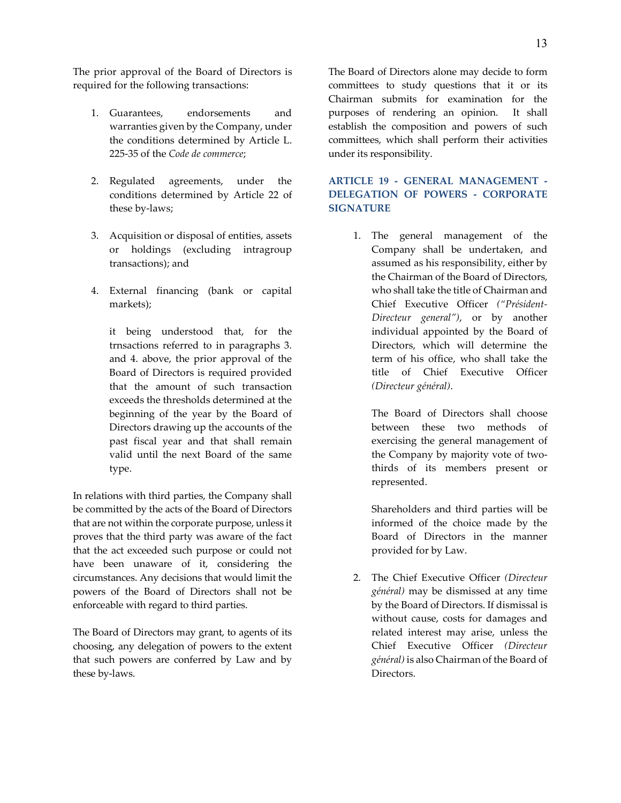The prior approval of the Board of Directors is required for the following transactions:

- 1. Guarantees, endorsements and warranties given by the Company, under the conditions determined by Article L. 225-35 of the *Code de commerce*;
- 2. Regulated agreements, under the conditions determined by Article 22 of these by-laws;
- 3. Acquisition or disposal of entities, assets or holdings (excluding intragroup transactions); and
- 4. External financing (bank or capital markets);

it being understood that, for the trnsactions referred to in paragraphs 3. and 4. above, the prior approval of the Board of Directors is required provided that the amount of such transaction exceeds the thresholds determined at the beginning of the year by the Board of Directors drawing up the accounts of the past fiscal year and that shall remain valid until the next Board of the same type.

In relations with third parties, the Company shall be committed by the acts of the Board of Directors that are not within the corporate purpose, unless it proves that the third party was aware of the fact that the act exceeded such purpose or could not have been unaware of it, considering the circumstances. Any decisions that would limit the powers of the Board of Directors shall not be enforceable with regard to third parties.

The Board of Directors may grant, to agents of its choosing, any delegation of powers to the extent that such powers are conferred by Law and by these by-laws.

The Board of Directors alone may decide to form committees to study questions that it or its Chairman submits for examination for the purposes of rendering an opinion. It shall establish the composition and powers of such committees, which shall perform their activities under its responsibility.

# **ARTICLE 19 - GENERAL MANAGEMENT - DELEGATION OF POWERS - CORPORATE SIGNATURE**

1. The general management of the Company shall be undertaken, and assumed as his responsibility, either by the Chairman of the Board of Directors, who shall take the title of Chairman and Chief Executive Officer *("Président-Directeur general")*, or by another individual appointed by the Board of Directors, which will determine the term of his office, who shall take the title of Chief Executive Officer *(Directeur général)*.

The Board of Directors shall choose between these two methods of exercising the general management of the Company by majority vote of twothirds of its members present or represented.

Shareholders and third parties will be informed of the choice made by the Board of Directors in the manner provided for by Law.

2. The Chief Executive Officer *(Directeur général)* may be dismissed at any time by the Board of Directors. If dismissal is without cause, costs for damages and related interest may arise, unless the Chief Executive Officer *(Directeur général)* is also Chairman of the Board of Directors.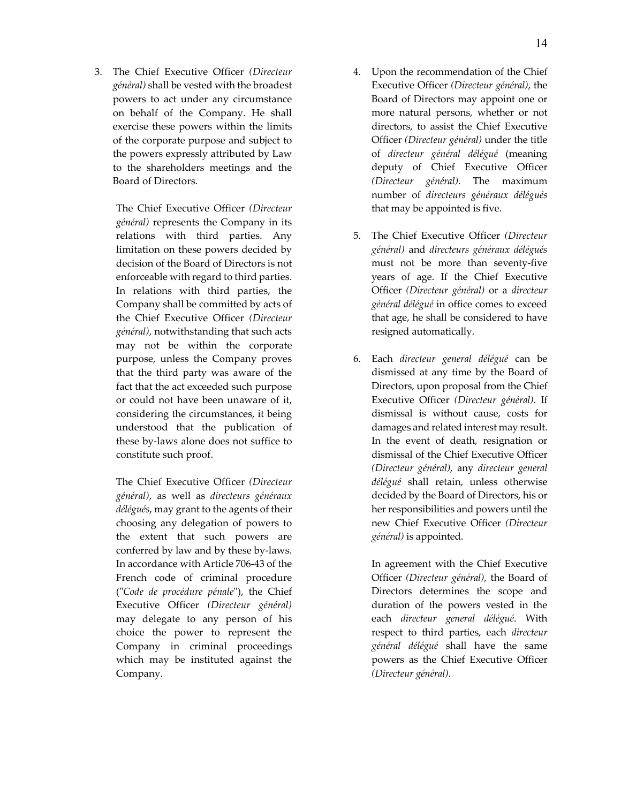3. The Chief Executive Officer *(Directeur général)* shall be vested with the broadest powers to act under any circumstance on behalf of the Company. He shall exercise these powers within the limits of the corporate purpose and subject to the powers expressly attributed by Law to the shareholders meetings and the Board of Directors.

> The Chief Executive Officer *(Directeur général)* represents the Company in its relations with third parties. Any limitation on these powers decided by decision of the Board of Directors is not enforceable with regard to third parties. In relations with third parties, the Company shall be committed by acts of the Chief Executive Officer *(Directeur général)*, notwithstanding that such acts may not be within the corporate purpose, unless the Company proves that the third party was aware of the fact that the act exceeded such purpose or could not have been unaware of it, considering the circumstances, it being understood that the publication of these by-laws alone does not suffice to constitute such proof.

> The Chief Executive Officer *(Directeur général)*, as well as *directeurs généraux délégués*, may grant to the agents of their choosing any delegation of powers to the extent that such powers are conferred by law and by these by-laws. In accordance with Article 706-43 of the French code of criminal procedure ("*Code de procédure pénale*"), the Chief Executive Officer *(Directeur général)* may delegate to any person of his choice the power to represent the Company in criminal proceedings which may be instituted against the Company.

- 4. Upon the recommendation of the Chief Executive Officer *(Directeur général)*, the Board of Directors may appoint one or more natural persons, whether or not directors, to assist the Chief Executive Officer *(Directeur général)* under the title of *directeur général délégué* (meaning deputy of Chief Executive Officer *(Directeur général)*. The maximum number of *directeurs généraux délégués* that may be appointed is five.
- 5. The Chief Executive Officer *(Directeur général)* and *directeurs généraux délégués* must not be more than seventy-five years of age. If the Chief Executive Officer *(Directeur général)* or a *directeur général délégué* in office comes to exceed that age, he shall be considered to have resigned automatically.
- 6. Each *directeur general délégué* can be dismissed at any time by the Board of Directors, upon proposal from the Chief Executive Officer *(Directeur général)*. If dismissal is without cause, costs for damages and related interest may result. In the event of death, resignation or dismissal of the Chief Executive Officer *(Directeur général)*, any *directeur general délégué* shall retain, unless otherwise decided by the Board of Directors, his or her responsibilities and powers until the new Chief Executive Officer *(Directeur général)* is appointed.

In agreement with the Chief Executive Officer *(Directeur général)*, the Board of Directors determines the scope and duration of the powers vested in the each *directeur general délégué*. With respect to third parties, each *directeur général délégué* shall have the same powers as the Chief Executive Officer *(Directeur général)*.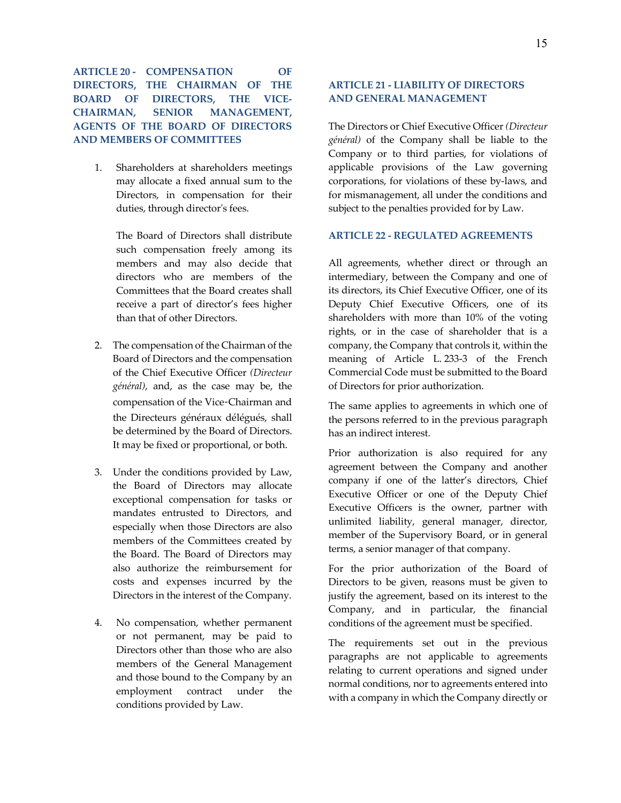**ARTICLE 20 - COMPENSATION OF DIRECTORS, THE CHAIRMAN OF THE BOARD OF DIRECTORS, THE VICE-CHAIRMAN, SENIOR MANAGEMENT, AGENTS OF THE BOARD OF DIRECTORS AND MEMBERS OF COMMITTEES**

1. Shareholders at shareholders meetings may allocate a fixed annual sum to the Directors, in compensation for their duties, through director's fees.

> The Board of Directors shall distribute such compensation freely among its members and may also decide that directors who are members of the Committees that the Board creates shall receive a part of director's fees higher than that of other Directors.

- 2. The compensation of the Chairman of the Board of Directors and the compensation of the Chief Executive Officer *(Directeur général)*, and, as the case may be, the compensation of the Vice‑Chairman and the Directeurs généraux délégués, shall be determined by the Board of Directors. It may be fixed or proportional, or both.
- 3. Under the conditions provided by Law, the Board of Directors may allocate exceptional compensation for tasks or mandates entrusted to Directors, and especially when those Directors are also members of the Committees created by the Board. The Board of Directors may also authorize the reimbursement for costs and expenses incurred by the Directors in the interest of the Company.
- 4. No compensation, whether permanent or not permanent, may be paid to Directors other than those who are also members of the General Management and those bound to the Company by an employment contract under the conditions provided by Law.

# **ARTICLE 21 - LIABILITY OF DIRECTORS AND GENERAL MANAGEMENT**

The Directors or Chief Executive Officer *(Directeur général)* of the Company shall be liable to the Company or to third parties, for violations of applicable provisions of the Law governing corporations, for violations of these by-laws, and for mismanagement, all under the conditions and subject to the penalties provided for by Law.

#### **ARTICLE 22 - REGULATED AGREEMENTS**

All agreements, whether direct or through an intermediary, between the Company and one of its directors, its Chief Executive Officer, one of its Deputy Chief Executive Officers, one of its shareholders with more than 10% of the voting rights, or in the case of shareholder that is a company, the Company that controls it, within the meaning of Article L. 233-3 of the French Commercial Code must be submitted to the Board of Directors for prior authorization.

The same applies to agreements in which one of the persons referred to in the previous paragraph has an indirect interest.

Prior authorization is also required for any agreement between the Company and another company if one of the latter's directors, Chief Executive Officer or one of the Deputy Chief Executive Officers is the owner, partner with unlimited liability, general manager, director, member of the Supervisory Board, or in general terms, a senior manager of that company.

For the prior authorization of the Board of Directors to be given, reasons must be given to justify the agreement, based on its interest to the Company, and in particular, the financial conditions of the agreement must be specified.

The requirements set out in the previous paragraphs are not applicable to agreements relating to current operations and signed under normal conditions, nor to agreements entered into with a company in which the Company directly or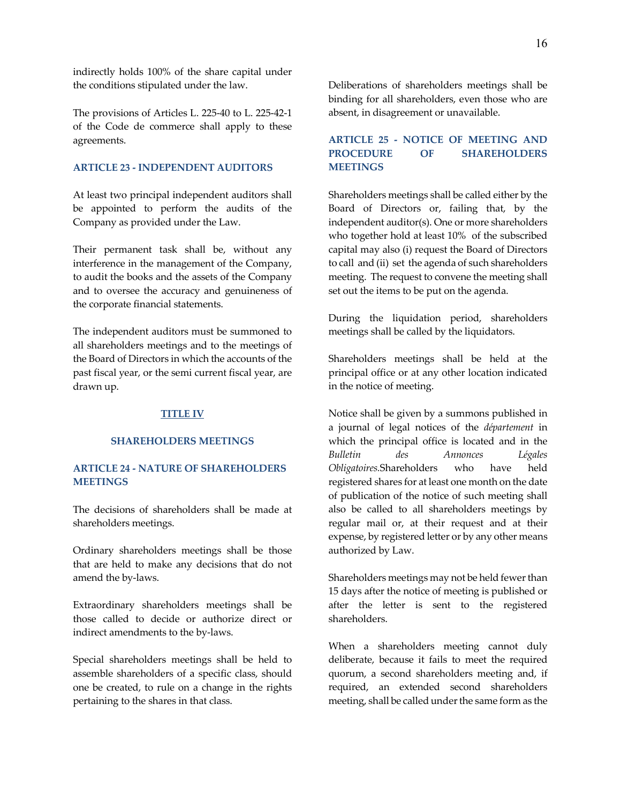indirectly holds 100% of the share capital under the conditions stipulated under the law.

The provisions of Articles L. 225-40 to L. 225-42-1 of the Code de commerce shall apply to these agreements.

## **ARTICLE 23 - INDEPENDENT AUDITORS**

At least two principal independent auditors shall be appointed to perform the audits of the Company as provided under the Law.

Their permanent task shall be, without any interference in the management of the Company, to audit the books and the assets of the Company and to oversee the accuracy and genuineness of the corporate financial statements.

The independent auditors must be summoned to all shareholders meetings and to the meetings of the Board of Directors in which the accounts of the past fiscal year, or the semi current fiscal year, are drawn up.

#### **TITLE IV**

#### **SHAREHOLDERS MEETINGS**

# **ARTICLE 24 - NATURE OF SHAREHOLDERS MEETINGS**

The decisions of shareholders shall be made at shareholders meetings.

Ordinary shareholders meetings shall be those that are held to make any decisions that do not amend the by-laws.

Extraordinary shareholders meetings shall be those called to decide or authorize direct or indirect amendments to the by-laws.

Special shareholders meetings shall be held to assemble shareholders of a specific class, should one be created, to rule on a change in the rights pertaining to the shares in that class.

Deliberations of shareholders meetings shall be binding for all shareholders, even those who are absent, in disagreement or unavailable.

# **ARTICLE 25 - NOTICE OF MEETING AND PROCEDURE OF SHAREHOLDERS MEETINGS**

Shareholders meetings shall be called either by the Board of Directors or, failing that, by the independent auditor(s). One or more shareholders who together hold at least 10% of the subscribed capital may also (i) request the Board of Directors to call and (ii) set the agenda of such shareholders meeting. The request to convene the meeting shall set out the items to be put on the agenda.

During the liquidation period, shareholders meetings shall be called by the liquidators.

Shareholders meetings shall be held at the principal office or at any other location indicated in the notice of meeting.

Notice shall be given by a summons published in a journal of legal notices of the *département* in which the principal office is located and in the *Bulletin des Annonces Légales Obligatoires.*Shareholders who have held registered shares for at least one month on the date of publication of the notice of such meeting shall also be called to all shareholders meetings by regular mail or, at their request and at their expense, by registered letter or by any other means authorized by Law.

Shareholders meetings may not be held fewer than 15 days after the notice of meeting is published or after the letter is sent to the registered shareholders.

When a shareholders meeting cannot duly deliberate, because it fails to meet the required quorum, a second shareholders meeting and, if required, an extended second shareholders meeting, shall be called under the same form as the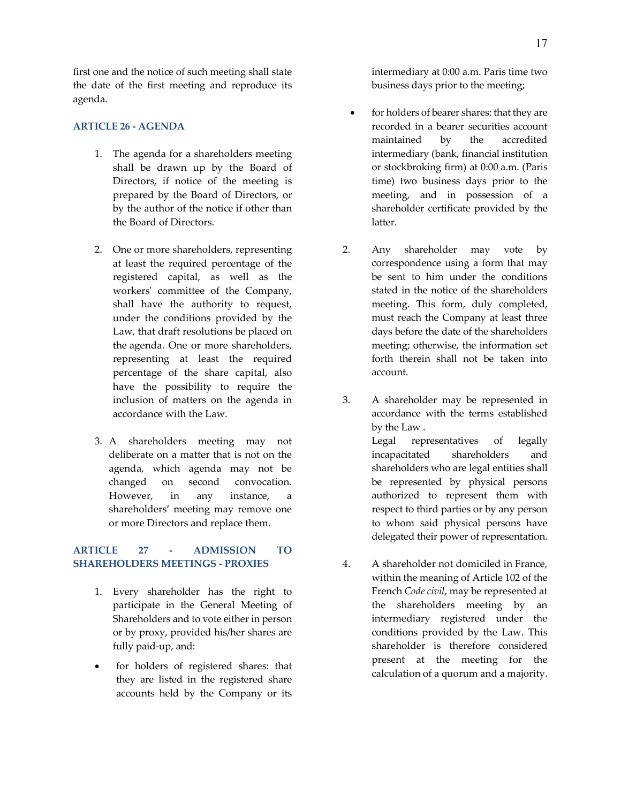first one and the notice of such meeting shall state the date of the first meeting and reproduce its agenda.

#### **ARTICLE 26 - AGENDA**

- 1. The agenda for a shareholders meeting shall be drawn up by the Board of Directors, if notice of the meeting is prepared by the Board of Directors, or by the author of the notice if other than the Board of Directors.
- 2. One or more shareholders, representing at least the required percentage of the registered capital, as well as the workers' committee of the Company, shall have the authority to request, under the conditions provided by the Law, that draft resolutions be placed on the agenda. One or more shareholders, representing at least the required percentage of the share capital, also have the possibility to require the inclusion of matters on the agenda in accordance with the Law.
- 3. A shareholders meeting may not deliberate on a matter that is not on the agenda, which agenda may not be changed on second convocation. However, in any instance, a shareholders' meeting may remove one or more Directors and replace them.

## **ARTICLE 27 - ADMISSION TO SHAREHOLDERS MEETINGS - PROXIES**

- 1. Every shareholder has the right to participate in the General Meeting of Shareholders and to vote either in person or by proxy, provided his/her shares are fully paid-up, and:
- for holders of registered shares: that they are listed in the registered share accounts held by the Company or its

intermediary at 0:00 a.m. Paris time two business days prior to the meeting;

- for holders of bearer shares: that they are recorded in a bearer securities account maintained by the accredited intermediary (bank, financial institution or stockbroking firm) at 0:00 a.m. (Paris time) two business days prior to the meeting, and in possession of a shareholder certificate provided by the latter.
- 2. Any shareholder may vote by correspondence using a form that may be sent to him under the conditions stated in the notice of the shareholders meeting. This form, duly completed, must reach the Company at least three days before the date of the shareholders meeting; otherwise, the information set forth therein shall not be taken into account.
- 3. A shareholder may be represented in accordance with the terms established by the Law . Legal representatives of legally incapacitated shareholders and shareholders who are legal entities shall be represented by physical persons authorized to represent them with respect to third parties or by any person to whom said physical persons have delegated their power of representation.
- 4. A shareholder not domiciled in France, within the meaning of Article 102 of the French *Code civil*, may be represented at the shareholders meeting by an intermediary registered under the conditions provided by the Law. This shareholder is therefore considered present at the meeting for the calculation of a quorum and a majority.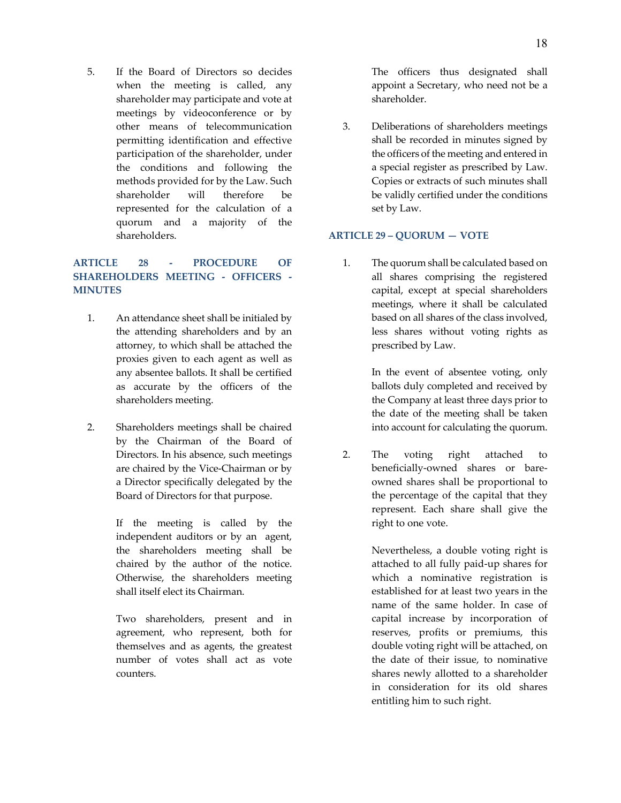5. If the Board of Directors so decides when the meeting is called, any shareholder may participate and vote at meetings by videoconference or by other means of telecommunication permitting identification and effective participation of the shareholder, under the conditions and following the methods provided for by the Law. Such shareholder will therefore be represented for the calculation of a quorum and a majority of the shareholders.

# **ARTICLE 28 - PROCEDURE OF SHAREHOLDERS MEETING - OFFICERS - MINUTES**

- 1. An attendance sheet shall be initialed by the attending shareholders and by an attorney, to which shall be attached the proxies given to each agent as well as any absentee ballots. It shall be certified as accurate by the officers of the shareholders meeting.
- 2. Shareholders meetings shall be chaired by the Chairman of the Board of Directors. In his absence, such meetings are chaired by the Vice-Chairman or by a Director specifically delegated by the Board of Directors for that purpose.

If the meeting is called by the independent auditors or by an agent, the shareholders meeting shall be chaired by the author of the notice. Otherwise, the shareholders meeting shall itself elect its Chairman.

Two shareholders, present and in agreement, who represent, both for themselves and as agents, the greatest number of votes shall act as vote counters.

The officers thus designated shall appoint a Secretary, who need not be a shareholder.

3. Deliberations of shareholders meetings shall be recorded in minutes signed by the officers of the meeting and entered in a special register as prescribed by Law. Copies or extracts of such minutes shall be validly certified under the conditions set by Law.

## **ARTICLE 29 – QUORUM — VOTE**

1. The quorum shall be calculated based on all shares comprising the registered capital, except at special shareholders meetings, where it shall be calculated based on all shares of the class involved, less shares without voting rights as prescribed by Law.

> In the event of absentee voting, only ballots duly completed and received by the Company at least three days prior to the date of the meeting shall be taken into account for calculating the quorum.

2. The voting right attached to beneficially-owned shares or bareowned shares shall be proportional to the percentage of the capital that they represent. Each share shall give the right to one vote.

> Nevertheless, a double voting right is attached to all fully paid-up shares for which a nominative registration is established for at least two years in the name of the same holder. In case of capital increase by incorporation of reserves, profits or premiums, this double voting right will be attached, on the date of their issue, to nominative shares newly allotted to a shareholder in consideration for its old shares entitling him to such right.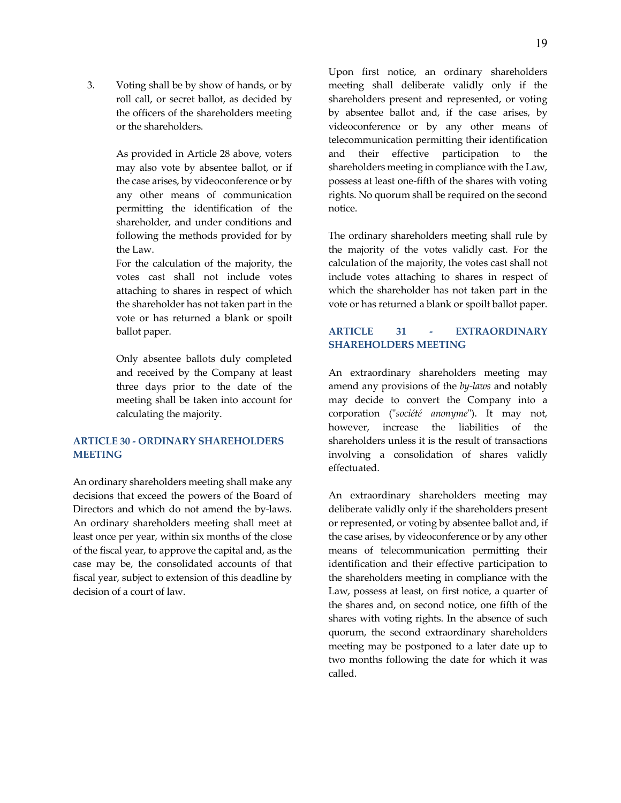3. Voting shall be by show of hands, or by roll call, or secret ballot, as decided by the officers of the shareholders meeting or the shareholders.

> As provided in Article 28 above, voters may also vote by absentee ballot, or if the case arises, by videoconference or by any other means of communication permitting the identification of the shareholder, and under conditions and following the methods provided for by the Law.

> For the calculation of the majority, the votes cast shall not include votes attaching to shares in respect of which the shareholder has not taken part in the vote or has returned a blank or spoilt ballot paper.

> Only absentee ballots duly completed and received by the Company at least three days prior to the date of the meeting shall be taken into account for calculating the majority.

# **ARTICLE 30 - ORDINARY SHAREHOLDERS MEETING**

An ordinary shareholders meeting shall make any decisions that exceed the powers of the Board of Directors and which do not amend the by-laws. An ordinary shareholders meeting shall meet at least once per year, within six months of the close of the fiscal year, to approve the capital and, as the case may be, the consolidated accounts of that fiscal year, subject to extension of this deadline by decision of a court of law.

Upon first notice, an ordinary shareholders meeting shall deliberate validly only if the shareholders present and represented, or voting by absentee ballot and, if the case arises, by videoconference or by any other means of telecommunication permitting their identification and their effective participation to the shareholders meeting in compliance with the Law, possess at least one-fifth of the shares with voting rights. No quorum shall be required on the second notice.

The ordinary shareholders meeting shall rule by the majority of the votes validly cast. For the calculation of the majority, the votes cast shall not include votes attaching to shares in respect of which the shareholder has not taken part in the vote or has returned a blank or spoilt ballot paper.

# **ARTICLE 31 - EXTRAORDINARY SHAREHOLDERS MEETING**

An extraordinary shareholders meeting may amend any provisions of the *by-laws* and notably may decide to convert the Company into a corporation ("*société anonyme*"). It may not, however, increase the liabilities of the shareholders unless it is the result of transactions involving a consolidation of shares validly effectuated.

An extraordinary shareholders meeting may deliberate validly only if the shareholders present or represented, or voting by absentee ballot and, if the case arises, by videoconference or by any other means of telecommunication permitting their identification and their effective participation to the shareholders meeting in compliance with the Law, possess at least, on first notice, a quarter of the shares and, on second notice, one fifth of the shares with voting rights. In the absence of such quorum, the second extraordinary shareholders meeting may be postponed to a later date up to two months following the date for which it was called.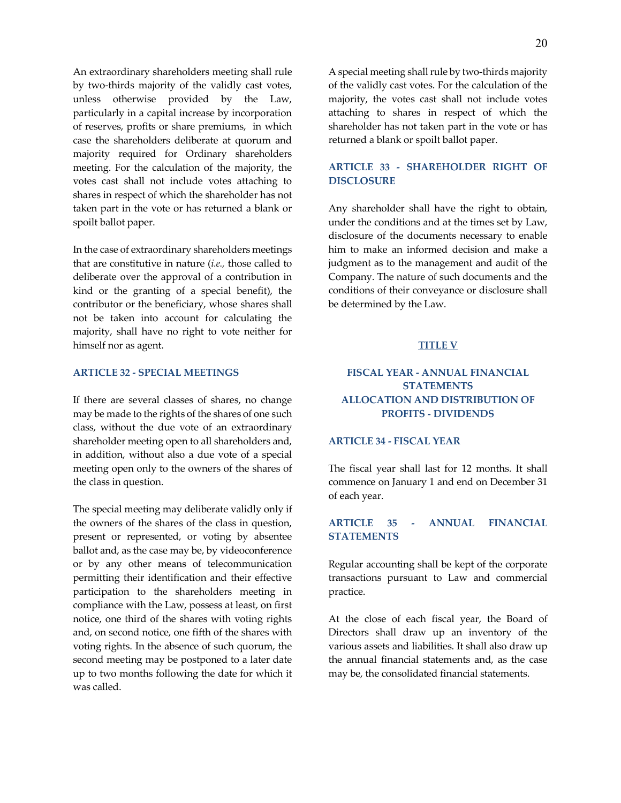An extraordinary shareholders meeting shall rule by two-thirds majority of the validly cast votes, unless otherwise provided by the Law, particularly in a capital increase by incorporation of reserves, profits or share premiums, in which case the shareholders deliberate at quorum and majority required for Ordinary shareholders meeting. For the calculation of the majority, the votes cast shall not include votes attaching to shares in respect of which the shareholder has not taken part in the vote or has returned a blank or spoilt ballot paper.

In the case of extraordinary shareholders meetings that are constitutive in nature (*i.e.,* those called to deliberate over the approval of a contribution in kind or the granting of a special benefit), the contributor or the beneficiary, whose shares shall not be taken into account for calculating the majority, shall have no right to vote neither for himself nor as agent.

#### **ARTICLE 32 - SPECIAL MEETINGS**

If there are several classes of shares, no change may be made to the rights of the shares of one such class, without the due vote of an extraordinary shareholder meeting open to all shareholders and, in addition, without also a due vote of a special meeting open only to the owners of the shares of the class in question.

The special meeting may deliberate validly only if the owners of the shares of the class in question, present or represented, or voting by absentee ballot and, as the case may be, by videoconference or by any other means of telecommunication permitting their identification and their effective participation to the shareholders meeting in compliance with the Law, possess at least, on first notice, one third of the shares with voting rights and, on second notice, one fifth of the shares with voting rights. In the absence of such quorum, the second meeting may be postponed to a later date up to two months following the date for which it was called.

A special meeting shall rule by two-thirds majority of the validly cast votes. For the calculation of the majority, the votes cast shall not include votes attaching to shares in respect of which the shareholder has not taken part in the vote or has returned a blank or spoilt ballot paper.

## **ARTICLE 33 - SHAREHOLDER RIGHT OF DISCLOSURE**

Any shareholder shall have the right to obtain, under the conditions and at the times set by Law, disclosure of the documents necessary to enable him to make an informed decision and make a judgment as to the management and audit of the Company. The nature of such documents and the conditions of their conveyance or disclosure shall be determined by the Law.

#### **TITLE V**

# **FISCAL YEAR - ANNUAL FINANCIAL STATEMENTS ALLOCATION AND DISTRIBUTION OF PROFITS - DIVIDENDS**

## **ARTICLE 34 - FISCAL YEAR**

The fiscal year shall last for 12 months. It shall commence on January 1 and end on December 31 of each year.

## **ARTICLE 35 - ANNUAL FINANCIAL STATEMENTS**

Regular accounting shall be kept of the corporate transactions pursuant to Law and commercial practice.

At the close of each fiscal year, the Board of Directors shall draw up an inventory of the various assets and liabilities. It shall also draw up the annual financial statements and, as the case may be, the consolidated financial statements.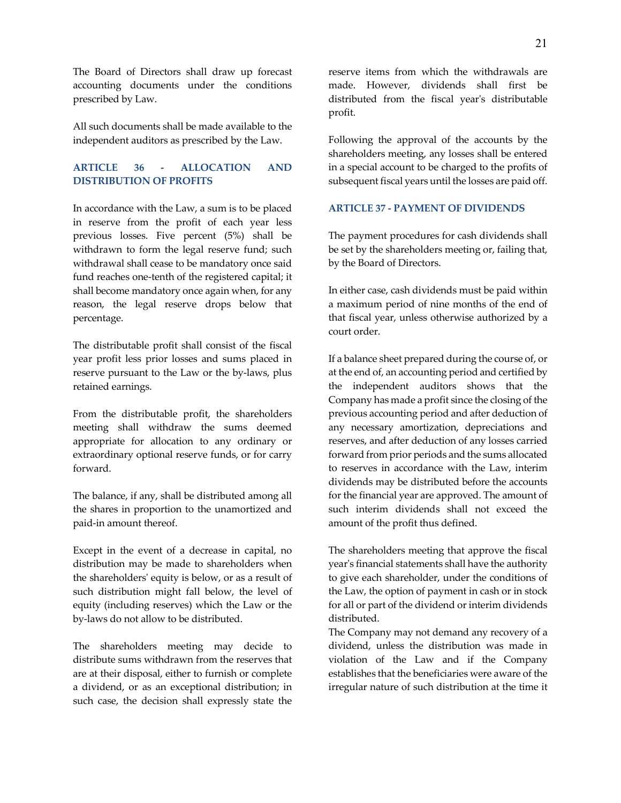The Board of Directors shall draw up forecast accounting documents under the conditions prescribed by Law.

All such documents shall be made available to the independent auditors as prescribed by the Law.

# **ARTICLE 36 - ALLOCATION AND DISTRIBUTION OF PROFITS**

In accordance with the Law, a sum is to be placed in reserve from the profit of each year less previous losses. Five percent (5%) shall be withdrawn to form the legal reserve fund; such withdrawal shall cease to be mandatory once said fund reaches one-tenth of the registered capital; it shall become mandatory once again when, for any reason, the legal reserve drops below that percentage.

The distributable profit shall consist of the fiscal year profit less prior losses and sums placed in reserve pursuant to the Law or the by-laws, plus retained earnings.

From the distributable profit, the shareholders meeting shall withdraw the sums deemed appropriate for allocation to any ordinary or extraordinary optional reserve funds, or for carry forward.

The balance, if any, shall be distributed among all the shares in proportion to the unamortized and paid-in amount thereof.

Except in the event of a decrease in capital, no distribution may be made to shareholders when the shareholders' equity is below, or as a result of such distribution might fall below, the level of equity (including reserves) which the Law or the by-laws do not allow to be distributed.

The shareholders meeting may decide to distribute sums withdrawn from the reserves that are at their disposal, either to furnish or complete a dividend, or as an exceptional distribution; in such case, the decision shall expressly state the

reserve items from which the withdrawals are made. However, dividends shall first be distributed from the fiscal year's distributable profit.

Following the approval of the accounts by the shareholders meeting, any losses shall be entered in a special account to be charged to the profits of subsequent fiscal years until the losses are paid off.

## **ARTICLE 37 - PAYMENT OF DIVIDENDS**

The payment procedures for cash dividends shall be set by the shareholders meeting or, failing that, by the Board of Directors.

In either case, cash dividends must be paid within a maximum period of nine months of the end of that fiscal year, unless otherwise authorized by a court order.

If a balance sheet prepared during the course of, or at the end of, an accounting period and certified by the independent auditors shows that the Company has made a profit since the closing of the previous accounting period and after deduction of any necessary amortization, depreciations and reserves, and after deduction of any losses carried forward from prior periods and the sums allocated to reserves in accordance with the Law, interim dividends may be distributed before the accounts for the financial year are approved. The amount of such interim dividends shall not exceed the amount of the profit thus defined.

The shareholders meeting that approve the fiscal year's financial statements shall have the authority to give each shareholder, under the conditions of the Law, the option of payment in cash or in stock for all or part of the dividend or interim dividends distributed.

The Company may not demand any recovery of a dividend, unless the distribution was made in violation of the Law and if the Company establishes that the beneficiaries were aware of the irregular nature of such distribution at the time it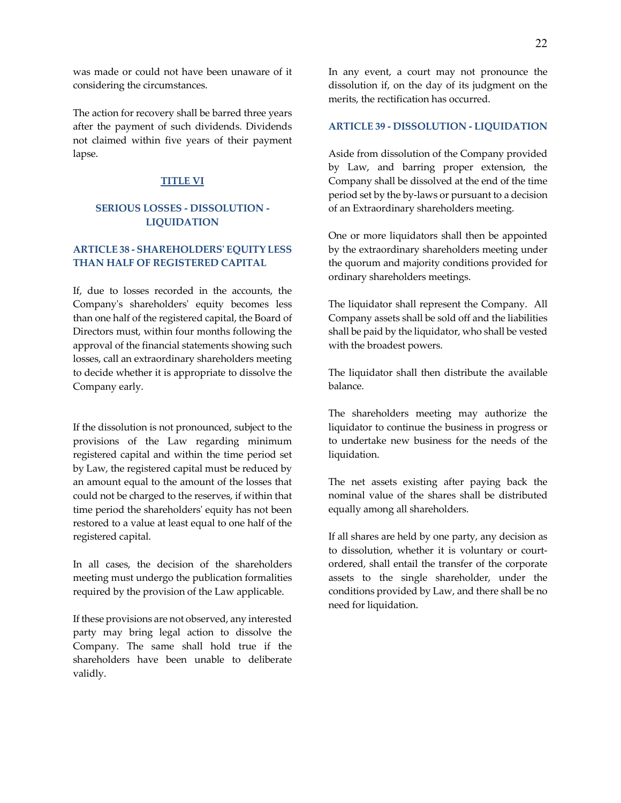was made or could not have been unaware of it considering the circumstances.

The action for recovery shall be barred three years after the payment of such dividends. Dividends not claimed within five years of their payment lapse.

#### **TITLE VI**

## **SERIOUS LOSSES - DISSOLUTION - LIQUIDATION**

# **ARTICLE 38 - SHAREHOLDERS' EQUITY LESS THAN HALF OF REGISTERED CAPITAL**

If, due to losses recorded in the accounts, the Company's shareholders' equity becomes less than one half of the registered capital, the Board of Directors must, within four months following the approval of the financial statements showing such losses, call an extraordinary shareholders meeting to decide whether it is appropriate to dissolve the Company early.

If the dissolution is not pronounced, subject to the provisions of the Law regarding minimum registered capital and within the time period set by Law, the registered capital must be reduced by an amount equal to the amount of the losses that could not be charged to the reserves, if within that time period the shareholders' equity has not been restored to a value at least equal to one half of the registered capital.

In all cases, the decision of the shareholders meeting must undergo the publication formalities required by the provision of the Law applicable.

If these provisions are not observed, any interested party may bring legal action to dissolve the Company. The same shall hold true if the shareholders have been unable to deliberate validly.

In any event, a court may not pronounce the dissolution if, on the day of its judgment on the merits, the rectification has occurred.

#### **ARTICLE 39 - DISSOLUTION - LIQUIDATION**

Aside from dissolution of the Company provided by Law, and barring proper extension, the Company shall be dissolved at the end of the time period set by the by-laws or pursuant to a decision of an Extraordinary shareholders meeting.

One or more liquidators shall then be appointed by the extraordinary shareholders meeting under the quorum and majority conditions provided for ordinary shareholders meetings.

The liquidator shall represent the Company. All Company assets shall be sold off and the liabilities shall be paid by the liquidator, who shall be vested with the broadest powers.

The liquidator shall then distribute the available balance.

The shareholders meeting may authorize the liquidator to continue the business in progress or to undertake new business for the needs of the liquidation.

The net assets existing after paying back the nominal value of the shares shall be distributed equally among all shareholders.

If all shares are held by one party, any decision as to dissolution, whether it is voluntary or courtordered, shall entail the transfer of the corporate assets to the single shareholder, under the conditions provided by Law, and there shall be no need for liquidation.